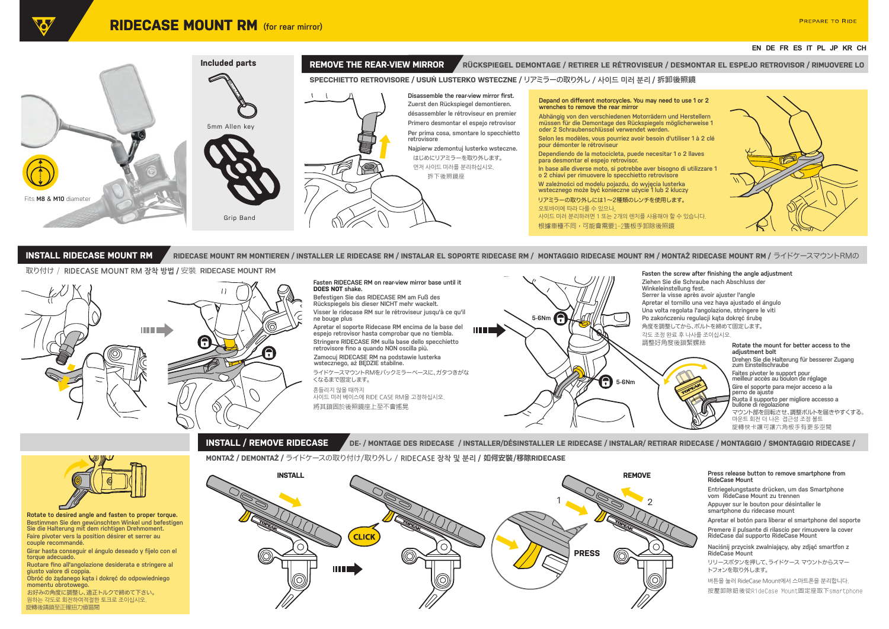# **EN DE FR ES IT PL JP KR CH**



# 取り付け / **RIDECASE MOUNT RM 장착 방법 /** 安裝 **RIDECASE MOUNT RM**



## **Fasten RIDECASE RM on rear-view mirror base until it DOES NOT shake.**

**Befestigen Sie das RIDECASE RM am Fuß des Rückspiegels bis dieser NICHT mehr wackelt. Visser le ridecase RM sur le rétroviseur jusqu'à ce qu'il ne bouge plus Apretar el soporte Ridecase RM encima de la base del espejo retrovisor hasta comprobar que no tiembla. Stringere RIDECASE RM sulla base dello specchietto retrovisore fino a quando NON oscilla più. Zamocuj RIDECASE RM na podstawie lusterka wstecznego, aż BĘDZIE stabilne.**

ライドケースマウントRMをバックミラーベースに、ガタつきがな くなるまで固定します。

흔들리지 않을 때까지

將其鎖固於後照鏡座上至不會搖晃 사이드 미러 베이스에 RIDE CASE RM을 고정하십시오.



### **Fasten the screw after finishing the angle adjustment**

**Ziehen Sie die Schraube nach Abschluss der Winkeleinstellung fest. Serrer la visse après avoir ajuster l'angle Apretar el tornillo una vez haya ajustado el ángulo Una volta regolata l'angolazione, stringere le viti Po zakończeniu regulacji kąta dokręć śrubę** 角度を調整してから、ボルトを締めて固定します。 각도 조정 완료 후 나사를 조이십시오.



## 마운트 회전 더 나은 접근성 조정 볼트 マウント部を回転させ、調整ボルトを届きやすくする。 **Rotate the mount for better access to the adjustment bolt Drehen Sie die Halterung für besserer Zugang zum Einstellschraube Faites pivoter le support pour meilleur accès au boulon de réglage Gire el soporte para mejor acceso a la perno de ajuste Ruota il supporto per migliore accesso a bullone di regolazione**

旋轉快卡讓可讓六角板手有更多空間

**INSTALL / REMOVE RIDECASE DE-** / MONTAGE DES RIDECASE / INSTALLER/DÉSINSTALLER LE RIDECASE / INSTALAR/ RETIRAR RIDECASE / MONTAGGIO / SMONTAGGIO RIDECASE /

# **MONTAŻ / DEMONTAŻ /** ライドケースの取り付け/取り外し / **RIDECASE 장착 및 분리 /** 如何安裝/移除**RIDECASE**



## **Press release button to remove smartphone from RideCase Mount**

**Entriegelungstaste drücken, um das Smartphone vom RideCase Mount zu trennen**

**Apretar el botón para liberar el smartphone del soporte Appuyer sur le bouton pour désintaller le smartphone du ridecase mount**

**Premere il pulsante di rilascio per rimuovere la cover RideCase dal supporto RideCase Mount**

**Naciśnij przycisk zwalniający, aby zdjąć smartfon z RideCase Mount**

リリースボタンを押して、ライドケース マウントからスマー トフォンを取り外します。

按壓卸除鈕後從RideCase Mount固定座取下smartphone 버튼을 눌러 RideCase Mount에서 스마트폰을 분리합니다.



**Rotate to desired angle and fasten to proper torque. Bestimmen Sie den gewünschten Winkel und befestigen Sie die Halterung mit dem richtigen Drehmoment. Faire pivoter vers la position désirer et serrer au couple recommandé.**

**Girar hasta conseguir el ángulo deseado y fíjelo con el torque adecuado.**

**Ruotare fino all'angolazione desiderata e stringere al giusto valore di coppia.**

**Obróć do żądanego kąta i dokręć do odpowiedniego momentu obrotowego.**

旋轉後請鎖至正確扭力值區間 お好みの角度に調整し、適正トルクで締めて下さい。 원하는 각도로 회전하여적절한 토크로 조이십시오.